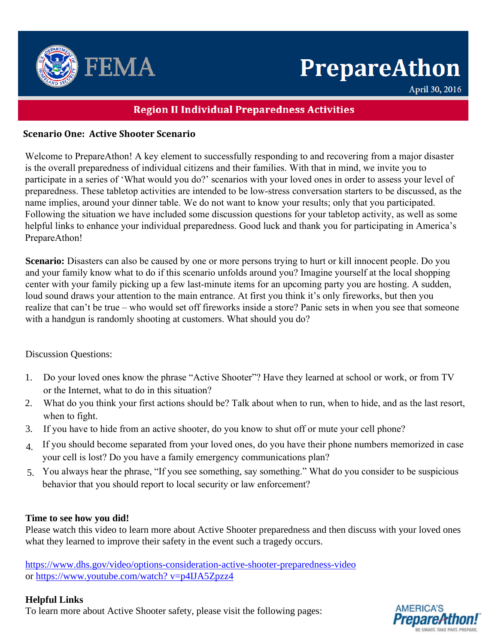

# **PrepareAthon**

April 30, 2016

# **Region II Individual Preparedness Activities**

## **Scenario One: Active Shooter Scenario**

Welcome to PrepareAthon! A key element to successfully responding to and recovering from a major disaster is the overall preparedness of individual citizens and their families. With that in mind, we invite you to participate in a series of 'What would you do?' scenarios with your loved ones in order to assess your level of preparedness. These tabletop activities are intended to be low-stress conversation starters to be discussed, as the name implies, around your dinner table. We do not want to know your results; only that you participated. Following the situation we have included some discussion questions for your tabletop activity, as well as some helpful links to enhance your individual preparedness. Good luck and thank you for participating in America's PrepareAthon!

**Scenario:** Disasters can also be caused by one or more persons trying to hurt or kill innocent people. Do you and your family know what to do if this scenario unfolds around you? Imagine yourself at the local shopping center with your family picking up a few last-minute items for an upcoming party you are hosting. A sudden, loud sound draws your attention to the main entrance. At first you think it's only fireworks, but then you realize that can't be true – who would set off fireworks inside a store? Panic sets in when you see that someone with a handgun is randomly shooting at customers. What should you do?

Discussion Questions:

- 1. Do your loved ones know the phrase "Active Shooter"? Have they learned at school or work, or from TV or the Internet, what to do in this situation?
- 2. What do you think your first actions should be? Talk about when to run, when to hide, and as the last resort, when to fight.
- 3. If you have to hide from an active shooter, do you know to shut off or mute your cell phone?
- 4. If you should become separated from your loved ones, do you have their phone numbers memorized in case your cell is lost? Do you have a family emergency communications plan?
- 5. You always hear the phrase, "If you see something, say something." What do you consider to be suspicious behavior that you should report to local security or law enforcement?

### **Time to see how you did!**

Please watch this video to learn more about Active Shooter preparedness and then discuss with your loved ones what they learned to improve their safety in the event such a tragedy occurs.

<https://www.dhs.gov/video/options-consideration-active-shooter-preparedness-video> or [https://www.youtube.com/watch? v=p4IJA5Zpzz4](https://www.youtube.com/watch?%20v=p4IJA5Zpzz4)

### **Helpful Links**

To learn more about Active Shooter safety, please visit the following pages: